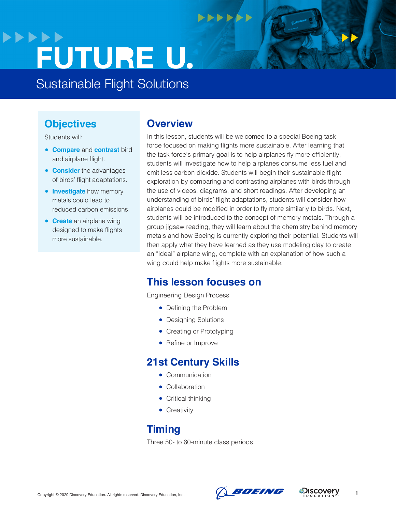## **>>>>>> FUTURE U.**

## Sustainable Flight Solutions

## **Objectives**

Students will:

- **Compare** and **contrast** bird and airplane flight.
- **Consider** the advantages of birds' flight adaptations.
- **Investigate** how memory metals could lead to reduced carbon emissions.
- **Create** an airplane wing designed to make flights more sustainable.

### **Overview**

In this lesson, students will be welcomed to a special Boeing task force focused on making flights more sustainable. After learning that the task force's primary goal is to help airplanes fly more efficiently, students will investigate how to help airplanes consume less fuel and emit less carbon dioxide. Students will begin their sustainable flight exploration by comparing and contrasting airplanes with birds through the use of videos, diagrams, and short readings. After developing an understanding of birds' flight adaptations, students will consider how airplanes could be modified in order to fly more similarly to birds. Next, students will be introduced to the concept of memory metals. Through a group jigsaw reading, they will learn about the chemistry behind memory metals and how Boeing is currently exploring their potential. Students will then apply what they have learned as they use modeling clay to create an "ideal" airplane wing, complete with an explanation of how such a wing could help make flights more sustainable.

**NNNNNN** 

## **This lesson focuses on**

Engineering Design Process

- Defining the Problem
- Designing Solutions
- Creating or Prototyping
- Refine or Improve

### **21st Century Skills**

- Communication
- Collaboration
- Critical thinking
- **•** Creativity

### **Timing**

Three 50- to 60-minute class periods



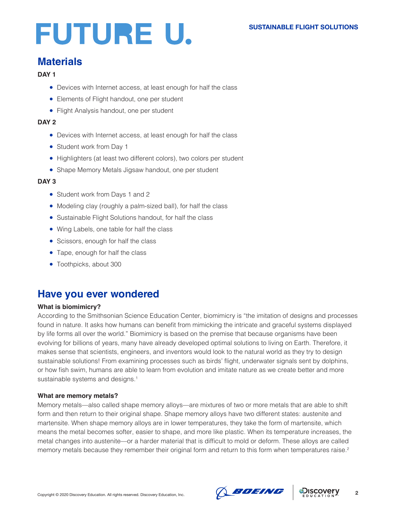### **Materials**

#### **DAY 1**

- Devices with Internet access, at least enough for half the class
- Elements of Flight handout, one per student
- Flight Analysis handout, one per student

#### **DAY 2**

- Devices with Internet access, at least enough for half the class
- Student work from Day 1
- Highlighters (at least two different colors), two colors per student
- Shape Memory Metals Jigsaw handout, one per student

#### **DAY 3**

- Student work from Days 1 and 2
- Modeling clay (roughly a palm-sized ball), for half the class
- Sustainable Flight Solutions handout, for half the class
- Wing Labels, one table for half the class
- Scissors, enough for half the class
- Tape, enough for half the class
- Toothpicks, about 300

### **Have you ever wondered**

#### **What is biomimicry?**

According to the Smithsonian Science Education Center, biomimicry is "the imitation of designs and processes found in nature. It asks how humans can benefit from mimicking the intricate and graceful systems displayed by life forms all over the world." Biomimicry is based on the premise that because organisms have been evolving for billions of years, many have already developed optimal solutions to living on Earth. Therefore, it makes sense that scientists, engineers, and inventors would look to the natural world as they try to design sustainable solutions! From examining processes such as birds' flight, underwater signals sent by dolphins, or how fish swim, humans are able to learn from evolution and imitate nature as we create better and more sustainable systems and designs.<sup>1</sup>

#### **What are memory metals?**

Memory metals—also called shape memory alloys—are mixtures of two or more metals that are able to shift form and then return to their original shape. Shape memory alloys have two different states: austenite and martensite. When shape memory alloys are in lower temperatures, they take the form of martensite, which means the metal becomes softer, easier to shape, and more like plastic. When its temperature increases, the metal changes into austenite—or a harder material that is difficult to mold or deform. These alloys are called memory metals because they remember their original form and return to this form when temperatures raise.<sup>2</sup>





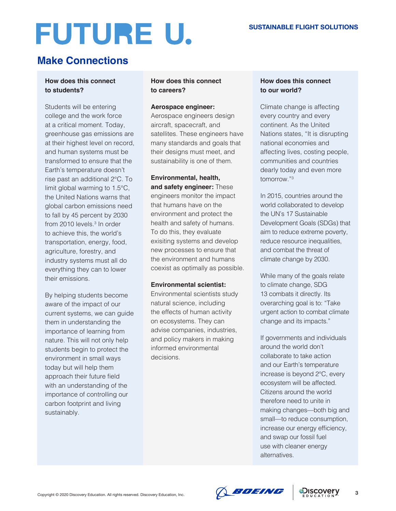## **Make Connections**

#### **How does this connect to students?**

Students will be entering college and the work force at a critical moment. Today, greenhouse gas emissions are at their highest level on record, and human systems must be transformed to ensure that the Earth's temperature doesn't rise past an additional 2°C. To limit global warming to 1.5°C, the United Nations warns that global carbon emissions need to fall by 45 percent by 2030 from 2010 levels.3 In order to achieve this, the world's transportation, energy, food, agriculture, forestry, and industry systems must all do everything they can to lower their emissions.

By helping students become aware of the impact of our current systems, we can guide them in understanding the importance of learning from nature. This will not only help students begin to protect the environment in small ways today but will help them approach their future field with an understanding of the importance of controlling our carbon footprint and living sustainably.

#### **How does this connect to careers?**

#### **Aerospace engineer:**

Aerospace engineers design aircraft, spacecraft, and satellites. These engineers have many standards and goals that their designs must meet, and sustainability is one of them.

**Environmental, health, and safety engineer:** These engineers monitor the impact that humans have on the environment and protect the health and safety of humans. To do this, they evaluate exisiting systems and develop new processes to ensure that the environment and humans coexist as optimally as possible.

#### **Environmental scientist:**

Environmental scientists study natural science, including the effects of human activity on ecosystems. They can advise companies, industries, and policy makers in making informed environmental decisions.

#### **How does this connect to our world?**

Climate change is affecting every country and every continent. As the United Nations states, "It is disrupting national economies and affecting lives, costing people, communities and countries dearly today and even more tomorrow."3

In 2015, countries around the world collaborated to develop the UN's 17 Sustainable Development Goals (SDGs) that aim to reduce extreme poverty, reduce resource inequalities, and combat the threat of climate change by 2030.

While many of the goals relate to climate change, SDG 13 combats it directly. Its overarching goal is to: "Take urgent action to combat climate change and its impacts."

If governments and individuals around the world don't collaborate to take action and our Earth's temperature increase is beyond 2°C, every ecosystem will be affected. Citizens around the world therefore need to unite in making changes—both big and small—to reduce consumption, increase our energy efficiency, and swap our fossil fuel use with cleaner energy alternatives.

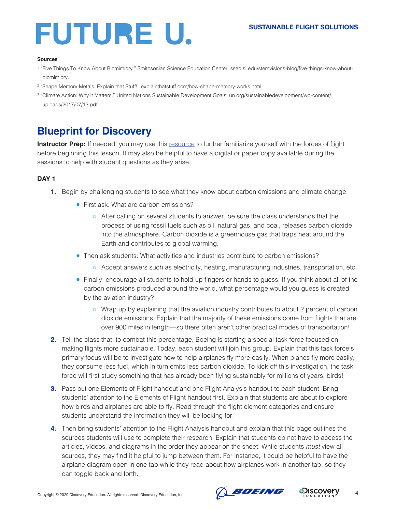#### **Sources**

- 1 "Five Things To Know About Biomimicry." Smithsonian Science Education Center. ssec.si.edu/stemvisions-blog/five-things-know-aboutbiomimicry.
- 2 "Shape Memory Metals. Explain that Stuff!" explainthatstuff.com/how-shape-memory-works.html.
- 3 "Climate Action: Why it Matters." United Nations Sustainable Development Goals. un.org/sustainabledevelopment/wp-content/ uploads/2017/07/13.pdf.

## **Blueprint for Discovery**

**Instructor Prep:** If needed, you may use this [resource](https://www.nasa.gov/pdf/551276main_TeachersHandbk-Exp.pdf) to further familiarize yourself with the forces of flight before beginning this lesson. It may also be helpful to have a digital or paper copy available during the sessions to help with student questions as they arise.

#### **DAY 1**

- **1.** Begin by challenging students to see what they know about carbon emissions and climate change.
	- First ask: What are carbon emissions?
		- After calling on several students to answer, be sure the class understands that the process of using fossil fuels such as oil, natural gas, and coal, releases carbon dioxide into the atmosphere. Carbon dioxide is a greenhouse gas that traps heat around the Earth and contributes to global warming.
	- Then ask students: What activities and industries contribute to carbon emissions?
		- Accept answers such as electricity, heating, manufacturing industries, transportation, etc.
	- Finally, encourage all students to hold up fingers or hands to guess: If you think about all of the carbon emissions produced around the world, what percentage would you guess is created by the aviation industry?
		- Wrap up by explaining that the aviation industry contributes to about 2 percent of carbon dioxide emissions. Explain that the majority of these emissions come from flights that are over 900 miles in length—so there often aren't other practical modes of transportation!
- **2.** Tell the class that, to combat this percentage, Boeing is starting a special task force focused on making flights more sustainable. Today, each student will join this group. Explain that this task force's primary focus will be to investigate how to help airplanes fly more easily. When planes fly more easily, they consume less fuel, which in turn emits less carbon dioxide. To kick off this investigation, the task force will first study something that has already been flying sustainably for millions of years: birds!
- **3.** Pass out one Elements of Flight handout and one Flight Analysis handout to each student. Bring students' attention to the Elements of Flight handout first. Explain that students are about to explore how birds and airplanes are able to fly. Read through the flight element categories and ensure students understand the information they will be looking for.
- **4.** Then bring students' attention to the Flight Analysis handout and explain that this page outlines the sources students will use to complete their research. Explain that students do not have to access the articles, videos, and diagrams in the order they appear on the sheet. While students *must* view all sources, they may find it helpful to jump between them. For instance, it could be helpful to have the airplane diagram open in one tab while they read about how airplanes work in another tab, so they can toggle back and forth.



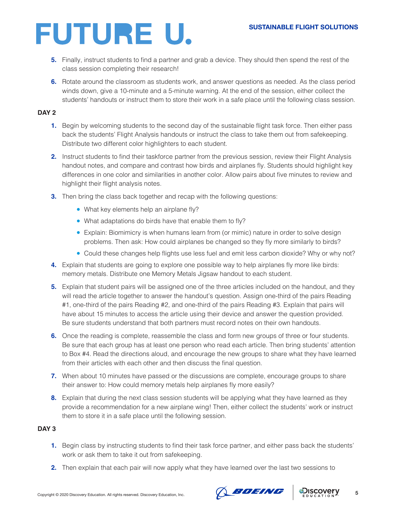- **5.** Finally, instruct students to find a partner and grab a device. They should then spend the rest of the class session completing their research!
- **6.** Rotate around the classroom as students work, and answer questions as needed. As the class period winds down, give a 10-minute and a 5-minute warning. At the end of the session, either collect the students' handouts or instruct them to store their work in a safe place until the following class session.

#### **DAY 2**

- **1.** Begin by welcoming students to the second day of the sustainable flight task force. Then either pass back the students' Flight Analysis handouts or instruct the class to take them out from safekeeping. Distribute two different color highlighters to each student.
- **2.** Instruct students to find their taskforce partner from the previous session, review their Flight Analysis handout notes, and compare and contrast how birds and airplanes fly. Students should highlight key differences in one color and similarities in another color. Allow pairs about five minutes to review and highlight their flight analysis notes.
- **3.** Then bring the class back together and recap with the following questions:
	- What key elements help an airplane fly?
	- What adaptations do birds have that enable them to fly?
	- Explain: Biomimicry is when humans learn from (or mimic) nature in order to solve design problems. Then ask: How could airplanes be changed so they fly more similarly to birds?
	- Could these changes help flights use less fuel and emit less carbon dioxide? Why or why not?
- **4.** Explain that students are going to explore one possible way to help airplanes fly more like birds: memory metals. Distribute one Memory Metals Jigsaw handout to each student.
- **5.** Explain that student pairs will be assigned one of the three articles included on the handout, and they will read the article together to answer the handout's question. Assign one-third of the pairs Reading #1, one-third of the pairs Reading #2, and one-third of the pairs Reading #3. Explain that pairs will have about 15 minutes to access the article using their device and answer the question provided. Be sure students understand that both partners must record notes on their own handouts.
- **6.** Once the reading is complete, reassemble the class and form new groups of three or four students. Be sure that each group has at least one person who read each article. Then bring students' attention to Box #4. Read the directions aloud, and encourage the new groups to share what they have learned from their articles with each other and then discuss the final question.
- **7.** When about 10 minutes have passed or the discussions are complete, encourage groups to share their answer to: How could memory metals help airplanes fly more easily?
- **8.** Explain that during the next class session students will be applying what they have learned as they provide a recommendation for a new airplane wing! Then, either collect the students' work or instruct them to store it in a safe place until the following session.

#### **DAY 3**

- **1.** Begin class by instructing students to find their task force partner, and either pass back the students' work or ask them to take it out from safekeeping.
- **2.** Then explain that each pair will now apply what they have learned over the last two sessions to



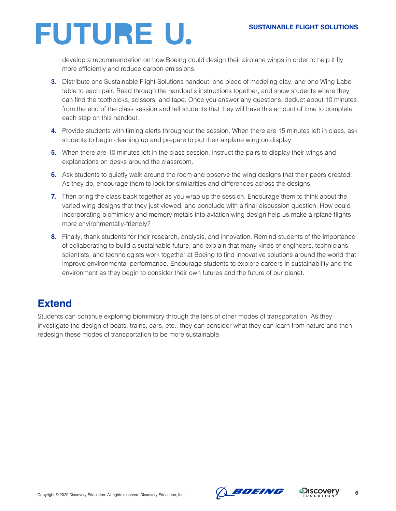develop a recommendation on how Boeing could design their airplane wings in order to help it fly more efficiently and reduce carbon emissions.

- **3.** Distribute one Sustainable Flight Solutions handout, one piece of modeling clay, and one Wing Label table to each pair. Read through the handout's instructions together, and show students where they can find the toothpicks, scissors, and tape. Once you answer any questions, deduct about 10 minutes from the end of the class session and tell students that they will have this amount of time to complete each step on this handout.
- **4.** Provide students with timing alerts throughout the session. When there are 15 minutes left in class, ask students to begin cleaning up and prepare to put their airplane wing on display.
- **5.** When there are 10 minutes left in the class session, instruct the pairs to display their wings and explanations on desks around the classroom.
- **6.** Ask students to quietly walk around the room and observe the wing designs that their peers created. As they do, encourage them to look for similarities and differences across the designs.
- **7.** Then bring the class back together as you wrap up the session. Encourage them to think about the varied wing designs that they just viewed, and conclude with a final discussion question: How could incorporating biomimicry and memory metals into aviation wing design help us make airplane flights more environmentally-friendly?
- **8.** Finally, thank students for their research, analysis, and innovation. Remind students of the importance of collaborating to build a sustainable future, and explain that many kinds of engineers, technicians, scientists, and technologists work together at Boeing to find innovative solutions around the world that improve environmental performance. Encourage students to explore careers in sustainability and the environment as they begin to consider their own futures and the future of our planet.

## **Extend**

Students can continue exploring biomimicry through the lens of other modes of transportation. As they investigate the design of boats, trains, cars, etc., they can consider what they can learn from nature and then redesign these modes of transportation to be more sustainable.



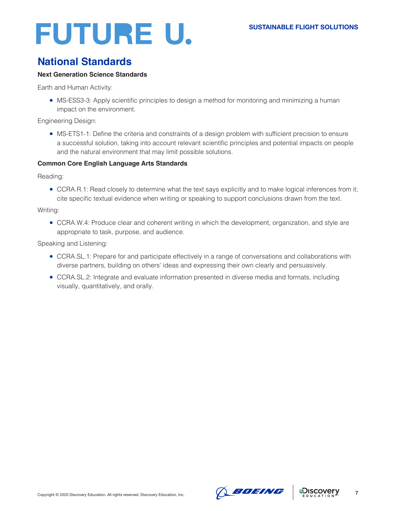## **National Standards**

#### **Next Generation Science Standards**

Earth and Human Activity:

• MS-ESS3-3: Apply scientific principles to design a method for monitoring and minimizing a human impact on the environment.

Engineering Design:

• MS-ETS1-1: Define the criteria and constraints of a design problem with sufficient precision to ensure a successful solution, taking into account relevant scientific principles and potential impacts on people and the natural environment that may limit possible solutions.

#### **Common Core English Language Arts Standards**

Reading:

• CCRA.R.1: Read closely to determine what the text says explicitly and to make logical inferences from it; cite specific textual evidence when writing or speaking to support conclusions drawn from the text.

Writing:

• CCRA.W.4: Produce clear and coherent writing in which the development, organization, and style are appropriate to task, purpose, and audience.

Speaking and Listening:

- CCRA.SL.1: Prepare for and participate effectively in a range of conversations and collaborations with diverse partners, building on others' ideas and expressing their own clearly and persuasively.
- CCRA.SL.2: Integrate and evaluate information presented in diverse media and formats, including visually, quantitatively, and orally.



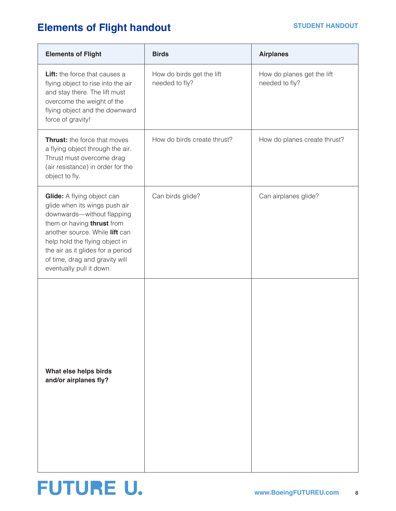## **Elements of Flight handout**

| <b>Elements of Flight</b>                                                                                                                                                                                                                                                                             | <b>Birds</b>                                | <b>Airplanes</b>                             |
|-------------------------------------------------------------------------------------------------------------------------------------------------------------------------------------------------------------------------------------------------------------------------------------------------------|---------------------------------------------|----------------------------------------------|
| Lift: the force that causes a<br>flying object to rise into the air<br>and stay there. The lift must<br>overcome the weight of the<br>flying object and the downward<br>force of gravity!                                                                                                             | How do birds get the lift<br>needed to fly? | How do planes get the lift<br>needed to fly? |
| <b>Thrust:</b> the force that moves<br>a flying object through the air.<br>Thrust must overcome drag<br>(air resistance) in order for the<br>object to fly.                                                                                                                                           | How do birds create thrust?                 | How do planes create thrust?                 |
| <b>Glide:</b> A flying object can<br>glide when its wings push air<br>downwards-without flapping<br>them or having thrust from<br>another source. While lift can<br>help hold the flying object in<br>the air as it glides for a period<br>of time, drag and gravity will<br>eventually pull it down. | Can birds glide?                            | Can airplanes glide?                         |
| What else helps birds<br>and/or airplanes fly?                                                                                                                                                                                                                                                        |                                             |                                              |

## **FUTURE U.**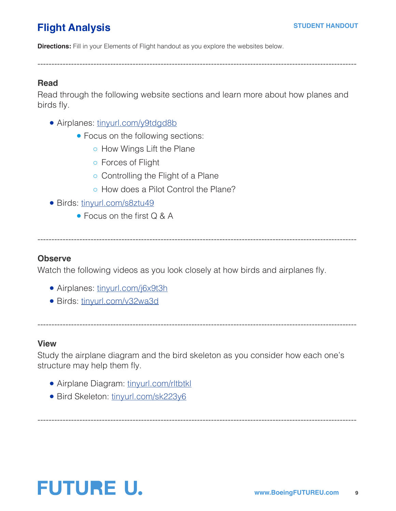## **Flight Analysis**

**Directions:** Fill in your Elements of Flight handout as you explore the websites below.

### **Read**

Read through the following website sections and learn more about how planes and birds fly.

------------------------------------------------------------------------------------------------------------------

- Airplanes: [tinyurl.com/y9tdgd8b](http://tinyurl.com/y9tdgd8b)
	- Focus on the following sections:
		- How Wings Lift the Plane
		- Forces of Flight
		- Controlling the Flight of a Plane
		- How does a Pilot Control the Plane?
- Birds: [tinyurl.com/s8ztu49](http://tinyurl.com/s8ztu49)
	- Focus on the first Q & A

------------------------------------------------------------------------------------------------------------------

### **Observe**

Watch the following videos as you look closely at how birds and airplanes fly.

- Airplanes: [tinyurl.com/j6x9t3h](http://tinyurl.com/j6x9t3h)
- Birds: [tinyurl.com/v32wa3d](http://tinyurl.com/v32wa3d)

#### **View**

Study the airplane diagram and the bird skeleton as you consider how each one's structure may help them fly.

------------------------------------------------------------------------------------------------------------------

------------------------------------------------------------------------------------------------------------------

- Airplane Diagram: [tinyurl.com/rltbtkl](http://tinyurl.com/rltbtkl)
- Bird Skeleton: [tinyurl.com/sk223y6](http://tinyurl.com/sk223y6)

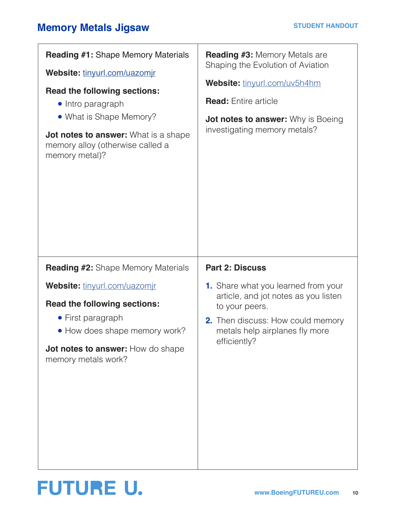## **Memory Metals Jigsaw**

| <b>Reading #1: Shape Memory Materials</b><br>Website: tinyurl.com/uazomjr<br><b>Read the following sections:</b><br>• Intro paragraph<br>• What is Shape Memory?<br><b>Jot notes to answer:</b> What is a shape<br>memory alloy (otherwise called a<br>memory metal)? | <b>Reading #3: Memory Metals are</b><br>Shaping the Evolution of Aviation<br>Website: tinyurl.com/uv5h4hm<br><b>Read:</b> Entire article<br><b>Jot notes to answer:</b> Why is Boeing<br>investigating memory metals? |
|-----------------------------------------------------------------------------------------------------------------------------------------------------------------------------------------------------------------------------------------------------------------------|-----------------------------------------------------------------------------------------------------------------------------------------------------------------------------------------------------------------------|
| <b>Reading #2:</b> Shape Memory Materials                                                                                                                                                                                                                             | <b>Part 2: Discuss</b>                                                                                                                                                                                                |
| Website: tinyurl.com/uazomjr                                                                                                                                                                                                                                          | <b>1.</b> Share what you learned from your                                                                                                                                                                            |
| <b>Read the following sections:</b>                                                                                                                                                                                                                                   | article, and jot notes as you listen                                                                                                                                                                                  |
| • First paragraph                                                                                                                                                                                                                                                     | to your peers.                                                                                                                                                                                                        |
| • How does shape memory work?                                                                                                                                                                                                                                         | <b>2.</b> Then discuss: How could memory                                                                                                                                                                              |
| Jot notes to answer: How do shape                                                                                                                                                                                                                                     | metals help airplanes fly more                                                                                                                                                                                        |
| memory metals work?                                                                                                                                                                                                                                                   | efficiently?                                                                                                                                                                                                          |

## **FUTURE U.**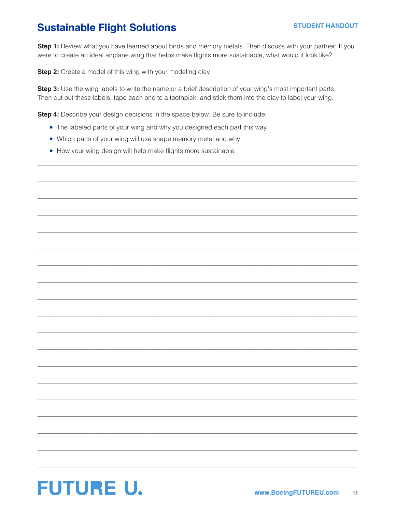## **Sustainable Flight Solutions**

Step 1: Review what you have learned about birds and memory metals. Then discuss with your partner: If you were to create an ideal airplane wing that helps make flights more sustainable, what would it look like?

Step 2: Create a model of this wing with your modeling clay.

Step 3: Use the wing labels to write the name or a brief description of your wing's most important parts. Then cut out these labels, tape each one to a toothpick, and stick them into the clay to label your wing.

Step 4: Describe your design decisions in the space below. Be sure to include:

- The labeled parts of your wing and why you designed each part this way
- Which parts of your wing will use shape memory metal and why
- How your wing design will help make flights more sustainable